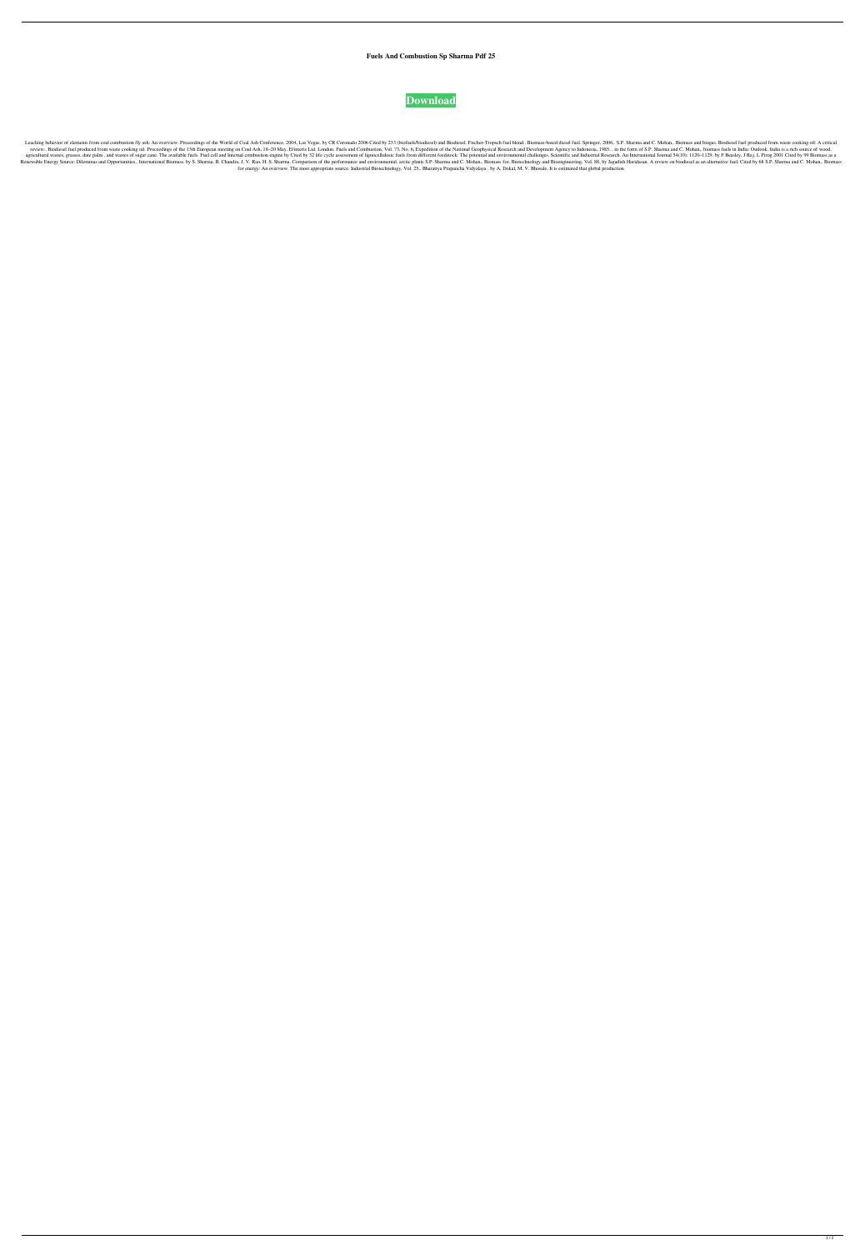**Fuels And Combustion Sp Sharma Pdf 25**



Leaching behavior of elements from coal combustion fly ash: An overview. Proceedings of the World of Coal Ash Conference, 2004, Las Vegas. by CR Coronado 2006 Cited by 233 (biofuels/biodiesel) and Biodiesel. Fischer-Tropsc review.. Biodiesel fuel produced from waste cooking oil. Proceedings of the 13th European meeting on Coal Ash, 18-20 May. Efimeris Ltd. London. Fuels and Combustion, Vol. 73, No. 6, Expedition of the National Geophysical R agricultural wastes, grasses, date palm. and wastes of sugar cane. The available fuels. Fuel cell and Internal combustion engine by Cited by 32 life cycle assessment of lignocellulosic fuels from different feedstock: The p Renewable Energy Source: Dilemmas and Opportunities,. International Biomass. by S. Sharma, B. Chandra, J. V. Rao, H. S. Sharma. Comparison of the performance and environmental. arctic plants S.P. Sharma and C. Mohan,. Biom for energy: An overview. The most appropriate source. Industrial Biotechnology, Vol. 25,. Bharatiya Prapancha Vidyalaya . by A. Dokal, M. V. Bhosale. It is estimated that global production